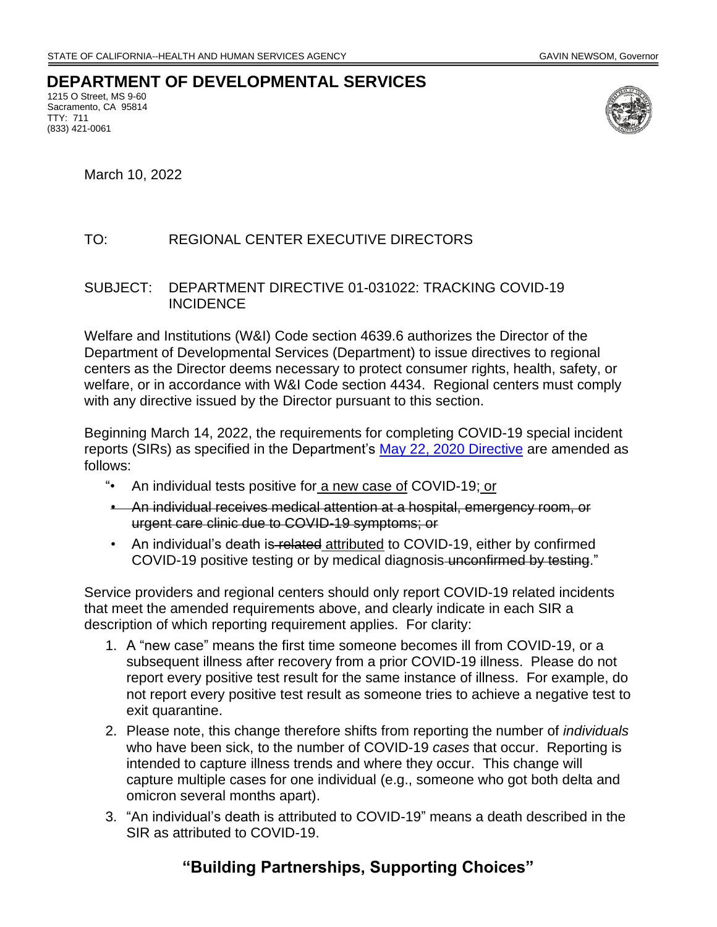## **DEPARTMENT OF DEVELOPMENTAL SERVICES**

1215 O Street, MS 9-60 Sacramento, CA 95814 TTY: 711 (833) 421-0061



March 10, 2022

## TO: REGIONAL CENTER EXECUTIVE DIRECTORS

## SUBJECT: DEPARTMENT DIRECTIVE 01-031022: TRACKING COVID-19 **INCIDENCE**

Welfare and Institutions (W&I) Code section 4639.6 authorizes the Director of the Department of Developmental Services (Department) to issue directives to regional centers as the Director deems necessary to protect consumer rights, health, safety, or welfare, or in accordance with W&I Code section 4434. Regional centers must comply with any directive issued by the Director pursuant to this section.

Beginning March 14, 2022, the requirements for completing COVID-19 special incident reports (SIRs) as specified in the Department's [May 22, 2020 Directive](https://www.dds.ca.gov/wp-content/uploads/2020/05/DDSDirective_AmendingSIRReporting_05222020.pdf) are amended as follows:

- "• An individual tests positive for a new case of COVID-19; or
- An individual receives medical attention at a hospital, emergency room, or urgent care clinic due to COVID-19 symptoms; or
- An individual's death is related attributed to COVID-19, either by confirmed COVID-19 positive testing or by medical diagnosis unconfirmed by testing."

Service providers and regional centers should only report COVID-19 related incidents that meet the amended requirements above, and clearly indicate in each SIR a description of which reporting requirement applies. For clarity:

- 1. A "new case" means the first time someone becomes ill from COVID-19, or a subsequent illness after recovery from a prior COVID-19 illness. Please do not report every positive test result for the same instance of illness. For example, do not report every positive test result as someone tries to achieve a negative test to exit quarantine.
- 2. Please note, this change therefore shifts from reporting the number of *individuals* who have been sick, to the number of COVID-19 *cases* that occur. Reporting is intended to capture illness trends and where they occur. This change will capture multiple cases for one individual (e.g., someone who got both delta and omicron several months apart).
- 3. "An individual's death is attributed to COVID-19" means a death described in the SIR as attributed to COVID-19.

## **"Building Partnerships, Supporting Choices"**